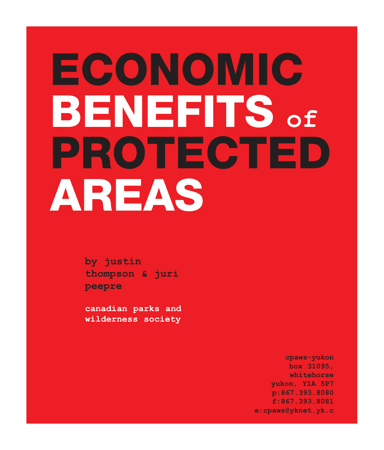# **PROTECTED AREAS BENEFITS of ECONOMIC**

**by justin thompson & juri peepre**

**canadian parks and wilderness society**

> **cpaws-yukon box 31095, whitehorse yukon, Y1A 5P7 p:867.393.8080 f:867.393.8081 e:cpaws@yknet.yk.c**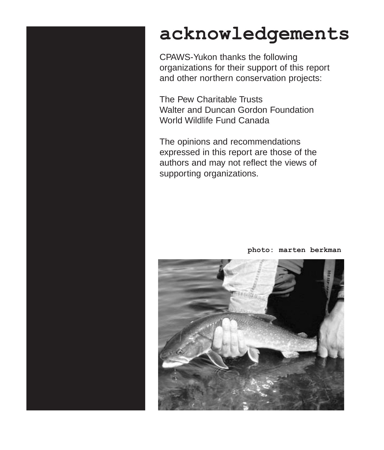### **acknowledgements**

CPAWS-Yukon thanks the following organizations for their support of this report and other northern conservation projects:

The Pew Charitable Trusts Walter and Duncan Gordon Foundation World Wildlife Fund Canada

The opinions and recommendations expressed in this report are those of the authors and may not reflect the views of supporting organizations.



**photo: marten berkman**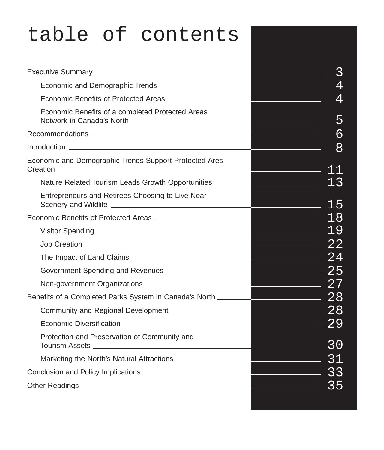#### table of contents3 Executive Summary **Executive Summary** Economic and Demographic Trends \_\_\_\_\_\_\_\_\_\_\_ 4 4 Economic Benefits of Protected Areas <u> 1999 - Johann Barn, mars eta inperiodo</u> Economic Benefits of a completed Protected Areas 5 <u> 1990 - Johann Barnett, fransk politiker (</u> Network in Canada's North 6 Recommendations Introduction 8 Economic and Demographic Trends Support Protected Ares Creation 11 Nature Related Tourism Leads Growth Opportunities 13 Entrepreneurs and Retirees Choosing to Live Near Scenery and Wildlife 15 18 Economic Benefits of Protected Areas 19 Visitor Spending  $\frac{22}{2}$ Job Creation  $\sim$  24 The Impact of Land Claims 25 Government Spending and Revenues 27 Non-government Organizations Benefits of a Completed Parks System in Canada's North 28 Community and Regional Development  $\sim$  28 Economic Diversification  $\sim$  29 Protection and Preservation of Community and  $\sim$  30 Tourism Assets Marketing the North's Natural Attractions 31 <u>233 - 234 External C</u> Conclusion and Policy Implications 35 Other Readings **Container Act and Container Act and Container Act and Container Act and Container Act and Container**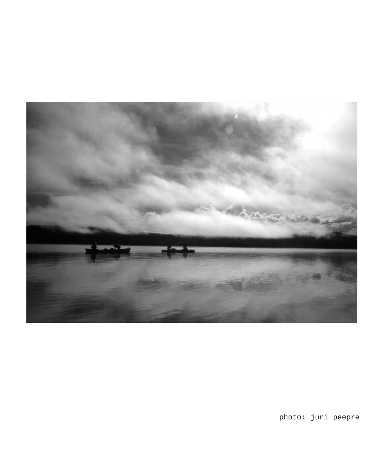

photo: juri peepre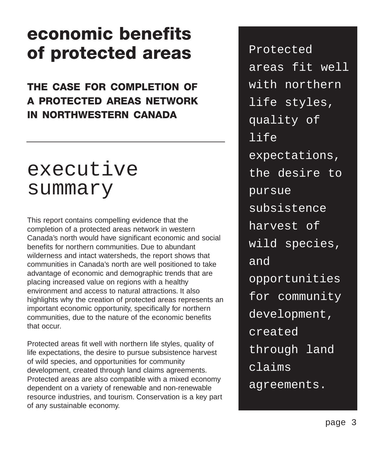### **economic benefits of protected areas**

#### **THE CASE FOR COMPLETION OF A PROTECTED AREAS NETWORK IN NORTHWESTERN CANADA**

### executive summary

This report contains compelling evidence that the completion of a protected areas network in western Canada's north would have significant economic and social benefits for northern communities. Due to abundant wilderness and intact watersheds, the report shows that communities in Canada's north are well positioned to take advantage of economic and demographic trends that are placing increased value on regions with a healthy environment and access to natural attractions. It also highlights why the creation of protected areas represents an important economic opportunity, specifically for northern communities, due to the nature of the economic benefits that occur.

Protected areas fit well with northern life styles, quality of life expectations, the desire to pursue subsistence harvest of wild species, and opportunities for community development, created through land claims agreements. Protected areas are also compatible with a mixed economy dependent on a variety of renewable and non-renewable resource industries, and tourism. Conservation is a key part of any sustainable economy.

Protected areas fit well with northern life styles, quality of life expectations, the desire to pursue subsistence harvest of wild species, and opportunities for community development, created through land claims agreements.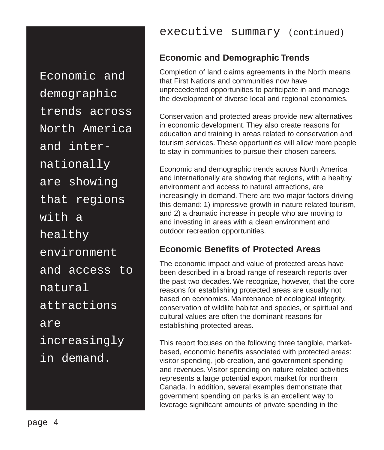Economic and demographic trends across North America and internationally are showing that regions with a healthy environment and access to natural attractions are increasingly in demand.

#### **Economic and Demographic Trends**

Completion of land claims agreements in the North means that First Nations and communities now have unprecedented opportunities to participate in and manage the development of diverse local and regional economies.

Conservation and protected areas provide new alternatives in economic development. They also create reasons for education and training in areas related to conservation and tourism services. These opportunities will allow more people to stay in communities to pursue their chosen careers.

Economic and demographic trends across North America and internationally are showing that regions, with a healthy environment and access to natural attractions, are increasingly in demand. There are two major factors driving this demand: 1) impressive growth in nature related tourism, and 2) a dramatic increase in people who are moving to and investing in areas with a clean environment and outdoor recreation opportunities.

#### **Economic Benefits of Protected Areas**

The economic impact and value of protected areas have been described in a broad range of research reports over the past two decades. We recognize, however, that the core reasons for establishing protected areas are usually not based on economics. Maintenance of ecological integrity, conservation of wildlife habitat and species, or spiritual and cultural values are often the dominant reasons for establishing protected areas.

This report focuses on the following three tangible, marketbased, economic benefits associated with protected areas: visitor spending, job creation, and government spending and revenues. Visitor spending on nature related activities represents a large potential export market for northern Canada. In addition, several examples demonstrate that government spending on parks is an excellent way to leverage significant amounts of private spending in the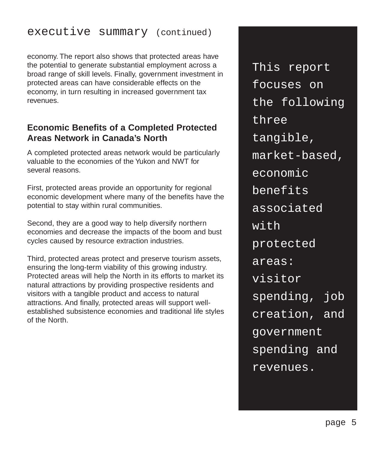#### executive summary (continued)

economy. The report also shows that protected areas have the potential to generate substantial employment across a broad range of skill levels. Finally, government investment in protected areas can have considerable effects on the economy, in turn resulting in increased government tax revenues.

#### **Economic Benefits of a Completed Protected Areas Network in Canada's North**

A completed protected areas network would be particularly valuable to the economies of the Yukon and NWT for several reasons.

First, protected areas provide an opportunity for regional economic development where many of the benefits have the potential to stay within rural communities.

Second, they are a good way to help diversify northern economies and decrease the impacts of the boom and bust cycles caused by resource extraction industries.

Third, protected areas protect and preserve tourism assets, ensuring the long-term viability of this growing industry. Protected areas will help the North in its efforts to market its natural attractions by providing prospective residents and visitors with a tangible product and access to natural attractions. And finally, protected areas will support wellestablished subsistence economies and traditional life styles of the North.

This report focuses on the following three tangible, market-based, economic benefits associated  $wt$  $\ddot{t}$ protected areas: visitor spending, job creation, and government spending and revenues.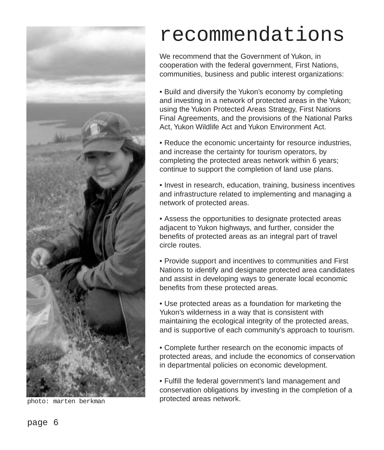

photo: marten berkman

### recommendations

We recommend that the Government of Yukon, in cooperation with the federal government, First Nations, communities, business and public interest organizations:

• Build and diversify the Yukon's economy by completing and investing in a network of protected areas in the Yukon; using the Yukon Protected Areas Strategy, First Nations Final Agreements, and the provisions of the National Parks Act, Yukon Wildlife Act and Yukon Environment Act.

• Reduce the economic uncertainty for resource industries, and increase the certainty for tourism operators, by completing the protected areas network within 6 years; continue to support the completion of land use plans.

• Invest in research, education, training, business incentives and infrastructure related to implementing and managing a network of protected areas.

• Assess the opportunities to designate protected areas adjacent to Yukon highways, and further, consider the benefits of protected areas as an integral part of travel circle routes.

• Provide support and incentives to communities and First Nations to identify and designate protected area candidates and assist in developing ways to generate local economic benefits from these protected areas.

• Use protected areas as a foundation for marketing the Yukon's wilderness in a way that is consistent with maintaining the ecological integrity of the protected areas, and is supportive of each community's approach to tourism.

• Complete further research on the economic impacts of protected areas, and include the economics of conservation in departmental policies on economic development.

• Fulfill the federal government's land management and conservation obligations by investing in the completion of a protected areas network.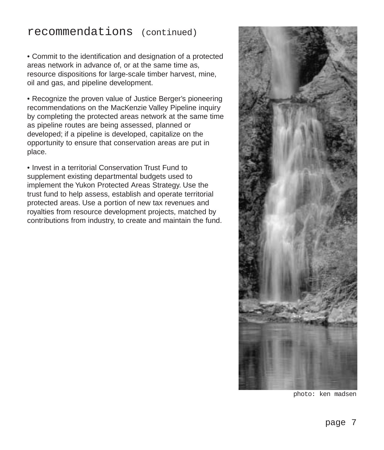#### recommendations (continued)

• Commit to the identification and designation of a protected areas network in advance of, or at the same time as, resource dispositions for large-scale timber harvest, mine, oil and gas, and pipeline development.

• Recognize the proven value of Justice Berger's pioneering recommendations on the MacKenzie Valley Pipeline inquiry by completing the protected areas network at the same time as pipeline routes are being assessed, planned or developed; if a pipeline is developed, capitalize on the opportunity to ensure that conservation areas are put in place.

• Invest in a territorial Conservation Trust Fund to supplement existing departmental budgets used to implement the Yukon Protected Areas Strategy. Use the trust fund to help assess, establish and operate territorial protected areas. Use a portion of new tax revenues and royalties from resource development projects, matched by contributions from industry, to create and maintain the fund.



photo: ken madsen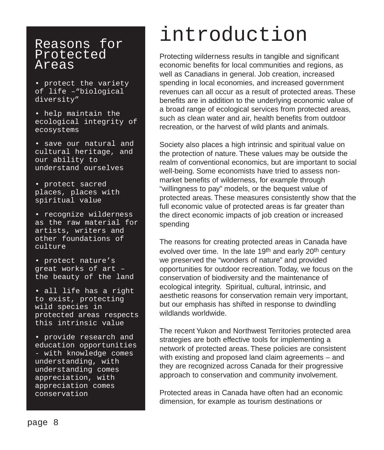#### Reasons for Protected Areas

• protect the variety of life –"biological diversity"

- help maintain the ecological integrity of ecosystems
- save our natural and cultural heritage, and our ability to understand ourselves
- protect sacred places, places with spiritual value

• recognize wilderness as the raw material for artists, writers and other foundations of culture

• protect nature's great works of art – the beauty of the land

• all life has a right to exist, protecting wild species in protected areas respects this intrinsic value

• provide research and education opportunities - with knowledge comes understanding, with understanding comes appreciation, with appreciation comes conservation

### introduction

Protecting wilderness results in tangible and significant economic benefits for local communities and regions, as well as Canadians in general. Job creation, increased spending in local economies, and increased government revenues can all occur as a result of protected areas. These benefits are in addition to the underlying economic value of a broad range of ecological services from protected areas, such as clean water and air, health benefits from outdoor recreation, or the harvest of wild plants and animals.

Society also places a high intrinsic and spiritual value on the protection of nature. These values may be outside the realm of conventional economics, but are important to social well-being. Some economists have tried to assess nonmarket benefits of wilderness, for example through "willingness to pay" models, or the bequest value of protected areas. These measures consistently show that the full economic value of protected areas is far greater than the direct economic impacts of job creation or increased spending

The reasons for creating protected areas in Canada have evolved over time. In the late 19<sup>th</sup> and early 20<sup>th</sup> century we preserved the "wonders of nature" and provided opportunities for outdoor recreation. Today, we focus on the conservation of biodiversity and the maintenance of ecological integrity. Spiritual, cultural, intrinsic, and aesthetic reasons for conservation remain very important, but our emphasis has shifted in response to dwindling wildlands worldwide.

The recent Yukon and Northwest Territories protected area strategies are both effective tools for implementing a network of protected areas. These policies are consistent with existing and proposed land claim agreements – and they are recognized across Canada for their progressive approach to conservation and community involvement.

Protected areas in Canada have often had an economic dimension, for example as tourism destinations or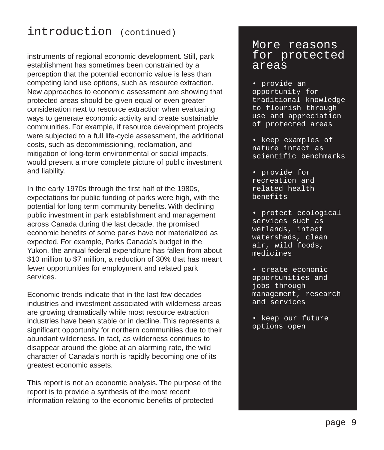#### introduction (continued)

instruments of regional economic development. Still, park establishment has sometimes been constrained by a perception that the potential economic value is less than competing land use options, such as resource extraction. New approaches to economic assessment are showing that protected areas should be given equal or even greater consideration next to resource extraction when evaluating ways to generate economic activity and create sustainable communities. For example, if resource development projects were subjected to a full life-cycle assessment, the additional costs, such as decommissioning, reclamation, and mitigation of long-term environmental or social impacts, would present a more complete picture of public investment and liability.

In the early 1970s through the first half of the 1980s, expectations for public funding of parks were high, with the potential for long term community benefits. With declining public investment in park establishment and management across Canada during the last decade, the promised economic benefits of some parks have not materialized as expected. For example, Parks Canada's budget in the Yukon, the annual federal expenditure has fallen from about \$10 million to \$7 million, a reduction of 30% that has meant fewer opportunities for employment and related park services.

Economic trends indicate that in the last few decades industries and investment associated with wilderness areas are growing dramatically while most resource extraction industries have been stable or in decline. This represents a significant opportunity for northern communities due to their abundant wilderness. In fact, as wilderness continues to disappear around the globe at an alarming rate, the wild character of Canada's north is rapidly becoming one of its greatest economic assets.

This report is not an economic analysis. The purpose of the report is to provide a synthesis of the most recent information relating to the economic benefits of protected

#### More reasons for protected areas

- provide an opportunity for traditional knowledge to flourish through use and appreciation of protected areas
- keep examples of nature intact as scientific benchmarks
- provide for recreation and related health benefits
- protect ecological services such as wetlands, intact watersheds, clean air, wild foods, medicines
- create economic opportunities and jobs through management, research and services
- keep our future options open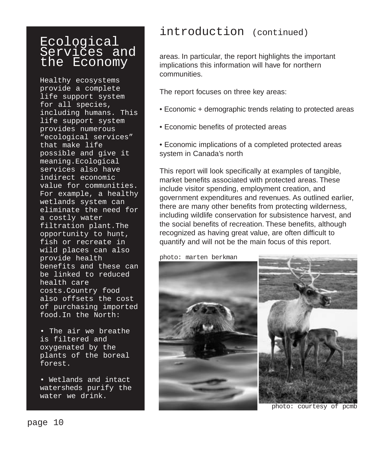#### Ecological Services and the Economy

Healthy ecosystems provide a complete life support system for all species, including humans. This life support system provides numerous "ecological services" that make life possible and give it meaning.Ecological services also have indirect economic value for communities. For example, a healthy wetlands system can eliminate the need for a costly water filtration plant.The opportunity to hunt, fish or recreate in wild places can also provide health benefits and these can be linked to reduced health care costs.Country food also offsets the cost of purchasing imported food.In the North:

• The air we breathe is filtered and oxygenated by the plants of the boreal forest.

• Wetlands and intact watersheds purify the water we drink.

#### introduction (continued)

areas. In particular, the report highlights the important implications this information will have for northern communities.

The report focuses on three key areas:

- Economic + demographic trends relating to protected areas
- Economic benefits of protected areas
- Economic implications of a completed protected areas system in Canada's north

This report will look specifically at examples of tangible, market benefits associated with protected areas. These include visitor spending, employment creation, and government expenditures and revenues. As outlined earlier, there are many other benefits from protecting wilderness, including wildlife conservation for subsistence harvest, and the social benefits of recreation. These benefits, although recognized as having great value, are often difficult to quantify and will not be the main focus of this report.

photo: marten berkman

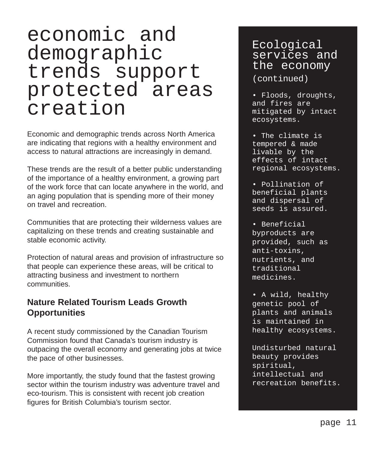### economic and demographic trends support protected areas creation

Economic and demographic trends across North America are indicating that regions with a healthy environment and access to natural attractions are increasingly in demand.

These trends are the result of a better public understanding of the importance of a healthy environment, a growing part of the work force that can locate anywhere in the world, and an aging population that is spending more of their money on travel and recreation.

Communities that are protecting their wilderness values are capitalizing on these trends and creating sustainable and stable economic activity.

Protection of natural areas and provision of infrastructure so that people can experience these areas, will be critical to attracting business and investment to northern communities.

#### **Nature Related Tourism Leads Growth Opportunities**

A recent study commissioned by the Canadian Tourism Commission found that Canada's tourism industry is outpacing the overall economy and generating jobs at twice the pace of other businesses.

More importantly, the study found that the fastest growing sector within the tourism industry was adventure travel and eco-tourism. This is consistent with recent job creation figures for British Columbia's tourism sector.

#### Ecological services and the economy (continued)

• Floods, droughts, and fires are mitigated by intact ecosystems.

• The climate is tempered & made livable by the effects of intact regional ecosystems.

• Pollination of beneficial plants and dispersal of seeds is assured.

• Beneficial byproducts are provided, such as anti-toxins, nutrients, and traditional medicines.

• A wild, healthy genetic pool of plants and animals is maintained in healthy ecosystems.

Undisturbed natural beauty provides spiritual, intellectual and recreation benefits.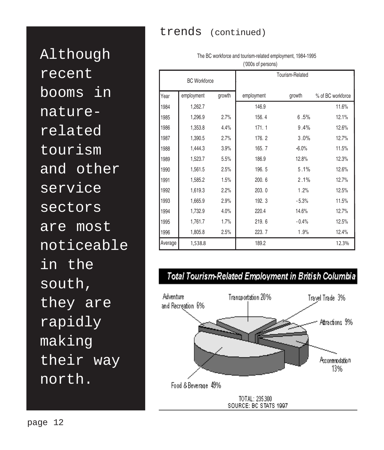#### trends (continued)

('000s of persons) BC Workforce Tourism-Related Year employment growth employment growth % of BC workforce 1984 1,262.7 146.9 146.9 11.6% 1,296.9 2.7% 156. 4 6 .5% 12.1% 1,353.8 4.4% 171. 1 9 .4% 12.6% **1,390.5** 2.7% 176. 2 3.0% 12.7% 1,444.3 3.9% 165. 7 -6.0% 11.5% 1,523.7 5.5% 186.9 12.8% 12.3% 1,561.5 2.5% 196. 5 5 .1% 12.6% 1,585.2 1.5% 200. 6 2 .1% 12.7% 1,619.3 2.2% 203. 0 1 .2% 12.5% 1,665.9 2.9% 192. 3 - 5.3% 11.5% 1,732.9 4.0% 220.4 14.6% 12.7% 1,761.7 1.7% 219. 6 - 0.4% 12.5% 1,805.8 2.5% 223. 7 1 .9% 12.4% Average **1,538.8** 189.2 **12.3%**

### The BC workforce and tourism-related employment, 1984-1995

#### Total Tourism-Related Employment in British Columbia



Although recent booms in naturerelated tourism and other service sectors are most noticeable in the south, they are rapidly making their way north.

page 12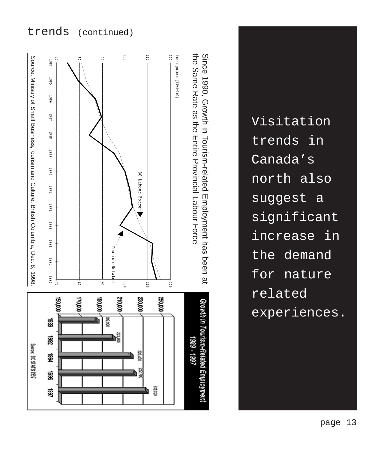#### trends (continued)



Visitation trends in Canada's north also suggest a significant increase in the demand for nature related experiences.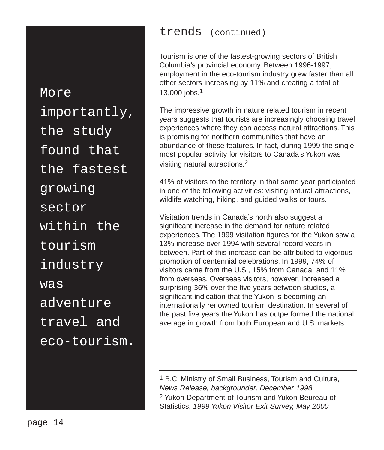More importantly, the study found that the fastest growing sector within the tourism industry was adventure travel and eco-tourism.

#### trends (continued)

Tourism is one of the fastest-growing sectors of British Columbia's provincial economy. Between 1996-1997, employment in the eco-tourism industry grew faster than all other sectors increasing by 11% and creating a total of 13,000 jobs.1

The impressive growth in nature related tourism in recent years suggests that tourists are increasingly choosing travel experiences where they can access natural attractions. This is promising for northern communities that have an abundance of these features. In fact, during 1999 the single most popular activity for visitors to Canada's Yukon was visiting natural attractions.2

41% of visitors to the territory in that same year participated in one of the following activities: visiting natural attractions, wildlife watching, hiking, and guided walks or tours.

Visitation trends in Canada's north also suggest a significant increase in the demand for nature related experiences. The 1999 visitation figures for the Yukon saw a 13% increase over 1994 with several record years in between. Part of this increase can be attributed to vigorous promotion of centennial celebrations. In 1999, 74% of visitors came from the U.S., 15% from Canada, and 11% from overseas. Overseas visitors, however, increased a surprising 36% over the five years between studies, a significant indication that the Yukon is becoming an internationally renowned tourism destination. In several of the past five years the Yukon has outperformed the national average in growth from both European and U.S. markets.

1 B.C. Ministry of Small Business, Tourism and Culture, News Release, backgrounder, December 1998 2 Yukon Department of Tourism and Yukon Beureau of Statistics, 1999 Yukon Visitor Exit Survey, May 2000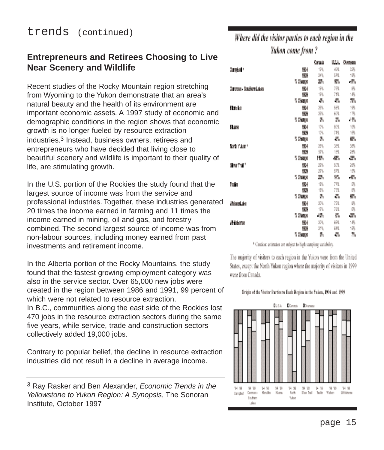#### **Entrepreneurs and Retirees Choosing to Live Near Scenery and Wildlife**

Recent studies of the Rocky Mountain region stretching from Wyoming to the Yukon demonstrate that an area's natural beauty and the health of its environment are important economic assets. A 1997 study of economic and demographic conditions in the region shows that economic growth is no longer fueled by resource extraction industries.3 Instead, business owners, retirees and entrepreneurs who have decided that living close to beautiful scenery and wildlife is important to their quality of life, are stimulating growth.

In the U.S. portion of the Rockies the study found that the largest source of income was from the service and professional industries. Together, these industries generated 20 times the income earned in farming and 11 times the income earned in mining, oil and gas, and forestry combined. The second largest source of income was from non-labour sources, including money earned from past investments and retirement income.

In the Alberta portion of the Rocky Mountains, the study found that the fastest growing employment category was also in the service sector. Over 65,000 new jobs were created in the region between 1986 and 1991, 99 percent of which were not related to resource extraction. In B.C., communities along the east side of the Rockies lost 470 jobs in the resource extraction sectors during the same five years, while service, trade and construction sectors collectively added 19,000 jobs.

Contrary to popular belief, the decline in resource extraction industries did not result in a decline in average income.

#### Where did the visitor parties to each region in the Yukon come from?

|                           |           | Catain | ш٨  | OATSIEL |
|---------------------------|-----------|--------|-----|---------|
| Comptet *                 | 棚         | 19%    | 福   | 52%     |
|                           | 锐力        | 24%    | 57% | 19%     |
|                           | ី បីសម្រ  | ж.     | w.  | -1%     |
| Carcross Bouliers Lakes   | 徴用        | 16%    | 76% | BW      |
|                           | 做法        | 16%    | 71% | 14%     |
|                           | % Channel | ᄴ      | ÷.  | 77%     |
| <b>Flandika</b>           | 棚         | 23%    | 58% | 19%     |
|                           | 做法        | 23%    | 60% | 17%     |
|                           | ", Change | Ж      | 潞   | 把绳      |
| 624033                    | 棚         | 10%    | 80% | 10%     |
|                           | 物         | 10%    | 74% | 16%     |
|                           | % Change  | 帆      | 恭   | w.      |
| North Yukon*              | 棚         | 26%    | 38% | 38%     |
|                           | 锐力        | 57%    | 15% | 28%     |
|                           | ី បីនេះទេ | ĦM,    | ж.  | 學       |
| Silver Trail <sup>+</sup> | 棚         | 22%    | 50% | 28%     |
|                           | 做法        | 27%    | 57% | 15%     |
|                           | % Change  | ж,     | ₩.  | -57.    |
| Talki                     | 懒用        | 18%    | 77% | 纵       |
|                           | 恍然        | 18%    | 75% | BW      |
|                           | % Change  | 帆      | ÷,  | ŵУ,     |
| WeiserLake                | 视川        | 20%    | 72% | 晀       |
|                           | f.co      | 17%    | 78% | 6W      |
|                           | ", Change | -19%   | 骤   | w.      |
| Wikidow                   | 棚         | 20%    | 66% | 14%     |
|                           | tка       | 21%    | 64% | 15%     |
|                           | % Change  | 外      | ÷.  | ħ,      |

\* Caution: estimates are subject to high sampling variability.

The majority of visitors to each region in the Yukon were from the United States, except the North Yukon region where the majority of visitors in 1999 were from Canada.

#### Origin of the Visitor Parties to Each Region in the Yukon, 1994 and 1999



<sup>3</sup> Ray Rasker and Ben Alexander, Economic Trends in the Yellowstone to Yukon Region: A Synopsis, The Sonoran Institute, October 1997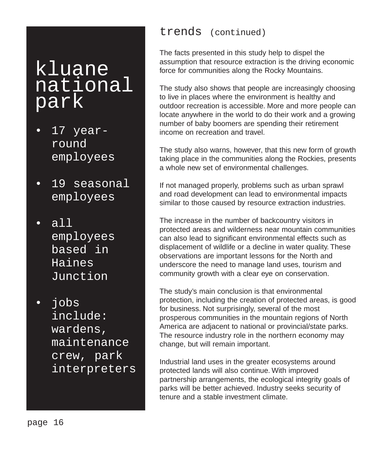### kluane national park

- 17 yearround employees
- 19 seasonal employees
- all employees based in Haines Junction
- jobs include: wardens, maintenance crew, park interpreters

#### trends (continued)

The facts presented in this study help to dispel the assumption that resource extraction is the driving economic force for communities along the Rocky Mountains.

The study also shows that people are increasingly choosing to live in places where the environment is healthy and outdoor recreation is accessible. More and more people can locate anywhere in the world to do their work and a growing number of baby boomers are spending their retirement income on recreation and travel.

The study also warns, however, that this new form of growth taking place in the communities along the Rockies, presents a whole new set of environmental challenges.

If not managed properly, problems such as urban sprawl and road development can lead to environmental impacts similar to those caused by resource extraction industries.

The increase in the number of backcountry visitors in protected areas and wilderness near mountain communities can also lead to significant environmental effects such as displacement of wildlife or a decline in water quality. These observations are important lessons for the North and underscore the need to manage land uses, tourism and community growth with a clear eye on conservation.

The study's main conclusion is that environmental protection, including the creation of protected areas, is good for business. Not surprisingly, several of the most prosperous communities in the mountain regions of North America are adjacent to national or provincial/state parks. The resource industry role in the northern economy may change, but will remain important.

Industrial land uses in the greater ecosystems around protected lands will also continue. With improved partnership arrangements, the ecological integrity goals of parks will be better achieved. Industry seeks security of tenure and a stable investment climate.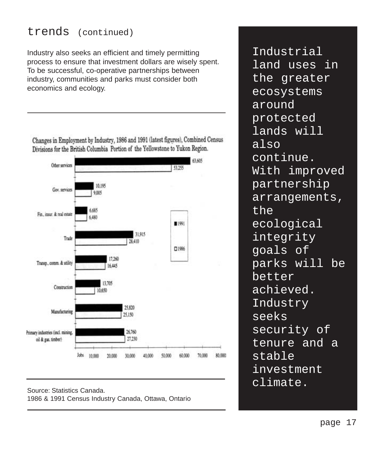#### trends (continued)

Industry also seeks an efficient and timely permitting process to ensure that investment dollars are wisely spent. To be successful, co-operative partnerships between industry, communities and parks must consider both economics and ecology.

Changes in Employment by Industry, 1986 and 1991 (latest figures), Combined Census Divisions for the British Columbia Portion of the Yellowstone to Yukon Region.



Source: Statistics Canada. 1986 & 1991 Census Industry Canada, Ottawa, Ontario

Industrial land uses in the greater ecosystems around protected lands will also continue. With improved partnership arrangements, the ecological integrity goals of parks will be better achieved. Industry seeks security of tenure and a stable investment climate.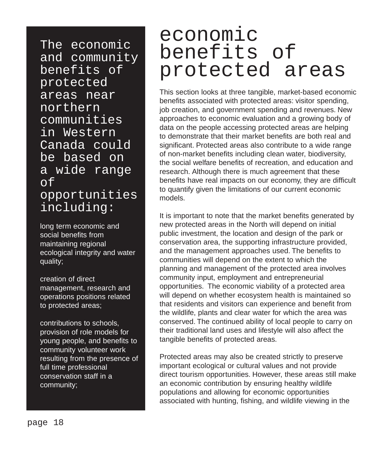The economic and community benefits of protected areas near northern communities in Western Canada could be based on a wide range of opportunities including:

long term economic and social benefits from maintaining regional ecological integrity and water quality;

creation of direct management, research and operations positions related to protected areas;

contributions to schools, provision of role models for young people, and benefits to community volunteer work resulting from the presence of full time professional conservation staff in a community;

### economic benefits of protected areas

This section looks at three tangible, market-based economic benefits associated with protected areas: visitor spending, job creation, and government spending and revenues. New approaches to economic evaluation and a growing body of data on the people accessing protected areas are helping to demonstrate that their market benefits are both real and significant. Protected areas also contribute to a wide range of non-market benefits including clean water, biodiversity, the social welfare benefits of recreation, and education and research. Although there is much agreement that these benefits have real impacts on our economy, they are difficult to quantify given the limitations of our current economic models.

It is important to note that the market benefits generated by new protected areas in the North will depend on initial public investment, the location and design of the park or conservation area, the supporting infrastructure provided, and the management approaches used. The benefits to communities will depend on the extent to which the planning and management of the protected area involves community input, employment and entrepreneurial opportunities. The economic viability of a protected area will depend on whether ecosystem health is maintained so that residents and visitors can experience and benefit from the wildlife, plants and clear water for which the area was conserved. The continued ability of local people to carry on their traditional land uses and lifestyle will also affect the tangible benefits of protected areas.

Protected areas may also be created strictly to preserve important ecological or cultural values and not provide direct tourism opportunities. However, these areas still make an economic contribution by ensuring healthy wildlife populations and allowing for economic opportunities associated with hunting, fishing, and wildlife viewing in the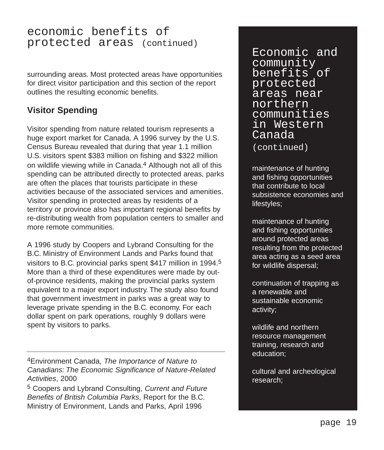#### economic benefits of protected areas (continued)

surrounding areas. Most protected areas have opportunities for direct visitor participation and this section of the report outlines the resulting economic benefits.

#### **Visitor Spending**

Visitor spending from nature related tourism represents a huge export market for Canada. A 1996 survey by the U.S. Census Bureau revealed that during that year 1.1 million U.S. visitors spent \$383 million on fishing and \$322 million on wildlife viewing while in Canada.<sup>4</sup> Although not all of this spending can be attributed directly to protected areas, parks are often the places that tourists participate in these activities because of the associated services and amenities. Visitor spending in protected areas by residents of a territory or province also has important regional benefits by re-distributing wealth from population centers to smaller and more remote communities.

A 1996 study by Coopers and Lybrand Consulting for the B.C. Ministry of Environment Lands and Parks found that visitors to B.C. provincial parks spent \$417 million in 1994.5 More than a third of these expenditures were made by outof-province residents, making the provincial parks system equivalent to a major export industry. The study also found that government investment in parks was a great way to leverage private spending in the B.C. economy. For each dollar spent on park operations, roughly 9 dollars were spent by visitors to parks.

4Environment Canada, The Importance of Nature to Canadians: The Economic Significance of Nature-Related Activities, 2000

5 Coopers and Lybrand Consulting, Current and Future Benefits of British Columbia Parks, Report for the B.C. Ministry of Environment, Lands and Parks, April 1996

Economic and community benefits of protected areas near northern communities in Western Canada (continued)

maintenance of hunting and fishing opportunities that contribute to local subsistence economies and lifestyles;

maintenance of hunting and fishing opportunities around protected areas resulting from the protected area acting as a seed area for wildlife dispersal;

continuation of trapping as a renewable and sustainable economic activity;

wildlife and northern resource management training, research and education;

cultural and archeological research;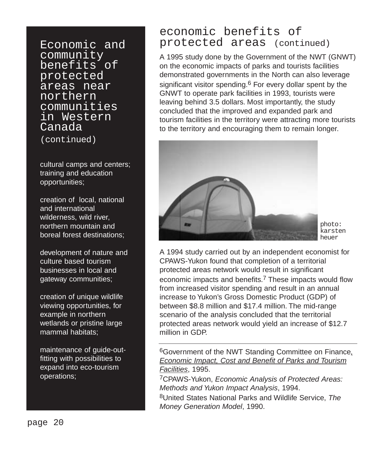Economic and community benefits of protected areas near northern communities in Western Canada (continued)

cultural camps and centers; training and education opportunities;

creation of local, national and international wilderness, wild river, northern mountain and boreal forest destinations;

development of nature and culture based tourism businesses in local and gateway communities;

creation of unique wildlife viewing opportunities, for example in northern wetlands or pristine large mammal habitats;

maintenance of guide-outfitting with possibilities to expand into eco-tourism operations;

#### economic benefits of protected areas (continued)

A 1995 study done by the Government of the NWT (GNWT) on the economic impacts of parks and tourists facilities demonstrated governments in the North can also leverage significant visitor spending.<sup>6</sup> For every dollar spent by the GNWT to operate park facilities in 1993, tourists were leaving behind 3.5 dollars. Most importantly, the study concluded that the improved and expanded park and tourism facilities in the territory were attracting more tourists to the territory and encouraging them to remain longer.



photo: karsten heuer

A 1994 study carried out by an independent economist for CPAWS-Yukon found that completion of a territorial protected areas network would result in significant economic impacts and benefits.7 These impacts would flow from increased visitor spending and result in an annual increase to Yukon's Gross Domestic Product (GDP) of between \$8.8 million and \$17.4 million. The mid-range scenario of the analysis concluded that the territorial protected areas network would yield an increase of \$12.7 million in GDP.

6Government of the NWT Standing Committee on Finance, Economic Impact, Cost and Benefit of Parks and Tourism Facilities, 1995.

7CPAWS-Yukon, Economic Analysis of Protected Areas: Methods and Yukon Impact Analysis, 1994.

8United States National Parks and Wildlife Service, The Money Generation Model, 1990.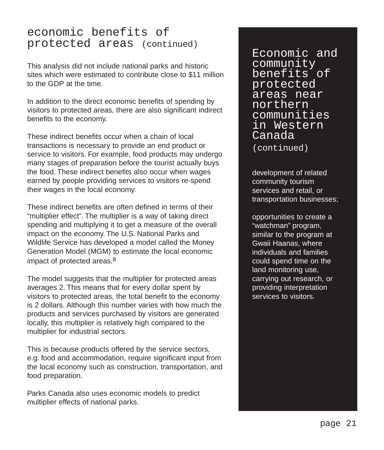#### economic benefits of protected areas (continued)

This analysis did not include national parks and historic sites which were estimated to contribute close to \$11 million to the GDP at the time.

In addition to the direct economic benefits of spending by visitors to protected areas, there are also significant indirect benefits to the economy.

These indirect benefits occur when a chain of local transactions is necessary to provide an end product or service to visitors. For example, food products may undergo many stages of preparation before the tourist actually buys the food. These indirect benefits also occur when wages earned by people providing services to visitors re-spend their wages in the local economy.

These indirect benefits are often defined in terms of their "multiplier effect". The multiplier is a way of taking direct spending and multiplying it to get a measure of the overall impact on the economy. The U.S. National Parks and Wildlife Service has developed a model called the Money Generation Model (MGM) to estimate the local economic impact of protected areas.8

The model suggests that the multiplier for protected areas averages 2. This means that for every dollar spent by visitors to protected areas, the total benefit to the economy is 2 dollars. Although this number varies with how much the products and services purchased by visitors are generated locally, this multiplier is relatively high compared to the multiplier for industrial sectors.

This is because products offered by the service sectors, e.g. food and accommodation, require significant input from the local economy such as construction, transportation, and food preparation.

Parks Canada also uses economic models to predict multiplier effects of national parks.

Economic and community benefits of protected areas near northern communities in Western Canada

(continued)

development of related community tourism services and retail, or transportation businesses;

opportunities to create a "watchman" program, similar to the program at Gwaii Haanas, where individuals and families could spend time on the land monitoring use, carrying out research, or providing interpretation services to visitors.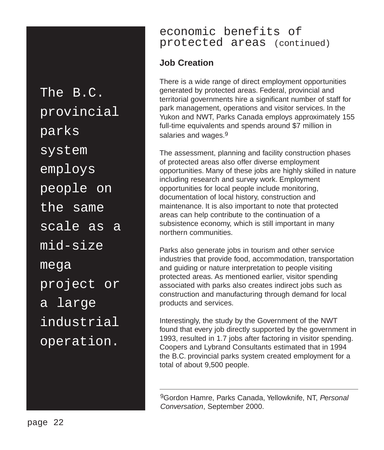The B.C. provincial parks system employs people on the same scale as a mid-size mega project or a large industrial operation.

#### economic benefits of protected areas (continued)

#### **Job Creation**

There is a wide range of direct employment opportunities generated by protected areas. Federal, provincial and territorial governments hire a significant number of staff for park management, operations and visitor services. In the Yukon and NWT, Parks Canada employs approximately 155 full-time equivalents and spends around \$7 million in salaries and wages.<sup>9</sup>

The assessment, planning and facility construction phases of protected areas also offer diverse employment opportunities. Many of these jobs are highly skilled in nature including research and survey work. Employment opportunities for local people include monitoring, documentation of local history, construction and maintenance. It is also important to note that protected areas can help contribute to the continuation of a subsistence economy, which is still important in many northern communities.

Parks also generate jobs in tourism and other service industries that provide food, accommodation, transportation and guiding or nature interpretation to people visiting protected areas. As mentioned earlier, visitor spending associated with parks also creates indirect jobs such as construction and manufacturing through demand for local products and services.

Interestingly, the study by the Government of the NWT found that every job directly supported by the government in 1993, resulted in 1.7 jobs after factoring in visitor spending. Coopers and Lybrand Consultants estimated that in 1994 the B.C. provincial parks system created employment for a total of about 9,500 people.

9Gordon Hamre, Parks Canada, Yellowknife, NT, Personal Conversation, September 2000.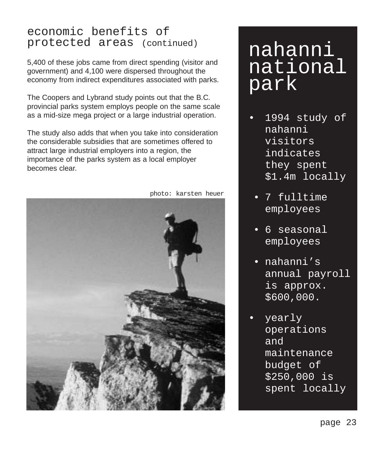#### economic benefits of protected areas (continued)

5,400 of these jobs came from direct spending (visitor and government) and 4,100 were dispersed throughout the economy from indirect expenditures associated with parks.

The Coopers and Lybrand study points out that the B.C. provincial parks system employs people on the same scale as a mid-size mega project or a large industrial operation.

The study also adds that when you take into consideration the considerable subsidies that are sometimes offered to attract large industrial employers into a region, the importance of the parks system as a local employer becomes clear.



photo: karsten heuer

### nahanni national park

- 1994 study of nahanni visitors indicates they spent \$1.4m locally
	- 7 fulltime employees
- 6 seasonal employees
- nahanni's annual payroll is approx. \$600,000.
- yearly operations and maintenance budget of \$250,000 is spent locally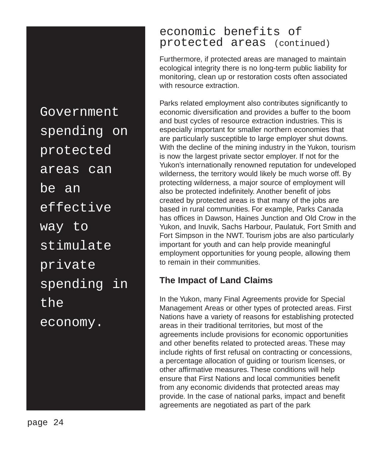Government spending on protected areas can be an effective way to stimulate private spending in the economy.

#### economic benefits of protected areas (continued)

Furthermore, if protected areas are managed to maintain ecological integrity there is no long-term public liability for monitoring, clean up or restoration costs often associated with resource extraction.

Parks related employment also contributes significantly to economic diversification and provides a buffer to the boom and bust cycles of resource extraction industries. This is especially important for smaller northern economies that are particularly susceptible to large employer shut downs. With the decline of the mining industry in the Yukon, tourism is now the largest private sector employer. If not for the Yukon's internationally renowned reputation for undeveloped wilderness, the territory would likely be much worse off. By protecting wilderness, a major source of employment will also be protected indefinitely. Another benefit of jobs created by protected areas is that many of the jobs are based in rural communities. For example, Parks Canada has offices in Dawson, Haines Junction and Old Crow in the Yukon, and Inuvik, Sachs Harbour, Paulatuk, Fort Smith and Fort Simpson in the NWT. Tourism jobs are also particularly important for youth and can help provide meaningful employment opportunities for young people, allowing them to remain in their communities.

#### **The Impact of Land Claims**

In the Yukon, many Final Agreements provide for Special Management Areas or other types of protected areas. First Nations have a variety of reasons for establishing protected areas in their traditional territories, but most of the agreements include provisions for economic opportunities and other benefits related to protected areas. These may include rights of first refusal on contracting or concessions, a percentage allocation of guiding or tourism licenses, or other affirmative measures. These conditions will help ensure that First Nations and local communities benefit from any economic dividends that protected areas may provide. In the case of national parks, impact and benefit agreements are negotiated as part of the park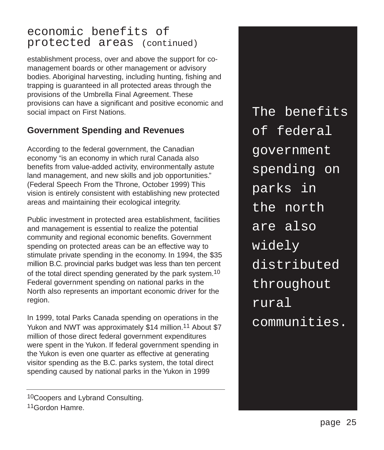#### economic benefits of protected areas (continued)

establishment process, over and above the support for comanagement boards or other management or advisory bodies. Aboriginal harvesting, including hunting, fishing and trapping is guaranteed in all protected areas through the provisions of the Umbrella Final Agreement. These provisions can have a significant and positive economic and social impact on First Nations.

#### **Government Spending and Revenues**

According to the federal government, the Canadian economy "is an economy in which rural Canada also benefits from value-added activity, environmentally astute land management, and new skills and job opportunities." (Federal Speech From the Throne, October 1999) This vision is entirely consistent with establishing new protected areas and maintaining their ecological integrity.

Public investment in protected area establishment, facilities and management is essential to realize the potential community and regional economic benefits. Government spending on protected areas can be an effective way to stimulate private spending in the economy. In 1994, the \$35 million B.C. provincial parks budget was less than ten percent of the total direct spending generated by the park system.<sup>10</sup> Federal government spending on national parks in the North also represents an important economic driver for the region.

In 1999, total Parks Canada spending on operations in the Yukon and NWT was approximately \$14 million.<sup>11</sup> About \$7 million of those direct federal government expenditures were spent in the Yukon. If federal government spending in the Yukon is even one quarter as effective at generating visitor spending as the B.C. parks system, the total direct spending caused by national parks in the Yukon in 1999

The benefits of federal government spending on parks in the north are also widely distributed throughout rural communities.

<sup>10</sup>Coopers and Lybrand Consulting.

<sup>11</sup>Gordon Hamre.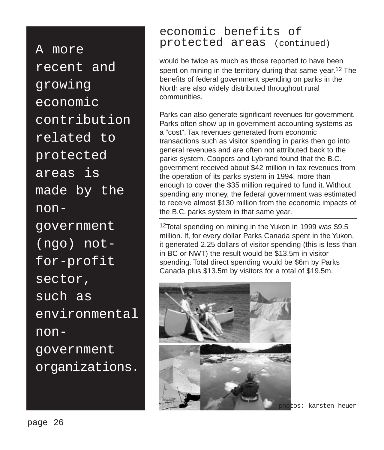A more recent and growing economic contribution related to protected areas is made by the nongovernment (ngo) notfor-profit sector, such as environmental  $n$ on – government organizations.

#### economic benefits of protected areas (continued)

would be twice as much as those reported to have been spent on mining in the territory during that same year.<sup>12</sup> The benefits of federal government spending on parks in the North are also widely distributed throughout rural communities.

Parks can also generate significant revenues for government. Parks often show up in government accounting systems as a "cost". Tax revenues generated from economic transactions such as visitor spending in parks then go into general revenues and are often not attributed back to the parks system. Coopers and Lybrand found that the B.C. government received about \$42 million in tax revenues from the operation of its parks system in 1994, more than enough to cover the \$35 million required to fund it. Without spending any money, the federal government was estimated to receive almost \$130 million from the economic impacts of the B.C. parks system in that same year.

12Total spending on mining in the Yukon in 1999 was \$9.5 million. If, for every dollar Parks Canada spent in the Yukon, it generated 2.25 dollars of visitor spending (this is less than in BC or NWT) the result would be \$13.5m in visitor spending. Total direct spending would be \$6m by Parks Canada plus \$13.5m by visitors for a total of \$19.5m.



photos: karsten heuer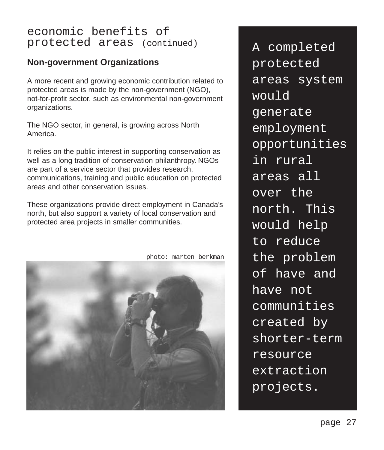#### economic benefits of protected areas (continued)

#### **Non-government Organizations**

A more recent and growing economic contribution related to protected areas is made by the non-government (NGO), not-for-profit sector, such as environmental non-government organizations.

The NGO sector, in general, is growing across North America.

It relies on the public interest in supporting conservation as well as a long tradition of conservation philanthropy. NGOs are part of a service sector that provides research, communications, training and public education on protected areas and other conservation issues.

These organizations provide direct employment in Canada's north, but also support a variety of local conservation and protected area projects in smaller communities.



photo: marten berkman

A completed protected areas system would generate employment opportunities in rural areas all over the north. This would help to reduce the problem of have and have not communities created by shorter-term resource extraction projects.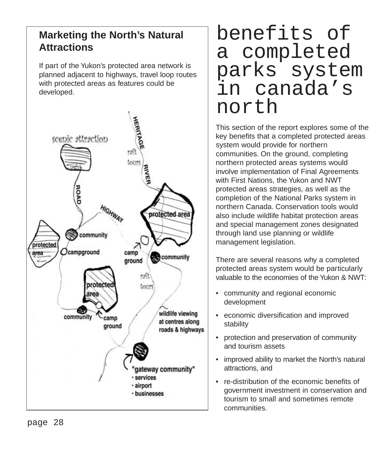#### **Marketing the North's Natural Attractions**

If part of the Yukon's protected area network is planned adjacent to highways, travel loop routes with protected areas as features could be developed.



### benefits of a completed parks system in canada's north

This section of the report explores some of the key benefits that a completed protected areas system would provide for northern communities. On the ground, completing northern protected areas systems would involve implementation of Final Agreements with First Nations, the Yukon and NWT protected areas strategies, as well as the completion of the National Parks system in northern Canada. Conservation tools would also include wildlife habitat protection areas and special management zones designated through land use planning or wildlife management legislation.

There are several reasons why a completed protected areas system would be particularly valuable to the economies of the Yukon & NWT:

- community and regional economic development
- economic diversification and improved stability
- protection and preservation of community and tourism assets
- improved ability to market the North's natural attractions, and
- re-distribution of the economic benefits of government investment in conservation and tourism to small and sometimes remote communities.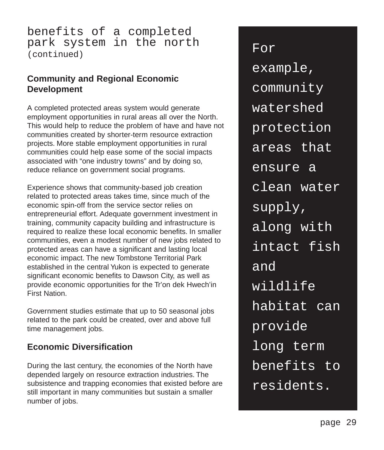#### benefits of a completed park system in the north (continued)

#### **Community and Regional Economic Development**

A completed protected areas system would generate employment opportunities in rural areas all over the North. This would help to reduce the problem of have and have not communities created by shorter-term resource extraction projects. More stable employment opportunities in rural communities could help ease some of the social impacts associated with "one industry towns" and by doing so, reduce reliance on government social programs.

Experience shows that community-based job creation related to protected areas takes time, since much of the economic spin-off from the service sector relies on entrepreneurial effort. Adequate government investment in training, community capacity building and infrastructure is required to realize these local economic benefits. In smaller communities, even a modest number of new jobs related to protected areas can have a significant and lasting local economic impact. The new Tombstone Territorial Park established in the central Yukon is expected to generate significant economic benefits to Dawson City, as well as provide economic opportunities for the Tr'on dek Hwech'in First Nation.

Government studies estimate that up to 50 seasonal jobs related to the park could be created, over and above full time management jobs.

#### **Economic Diversification**

During the last century, the economies of the North have depended largely on resource extraction industries. The subsistence and trapping economies that existed before are still important in many communities but sustain a smaller number of jobs.

For example, community watershed protection areas that ensure a clean water supply, along with intact fish and wildlife habitat can provide long term benefits to residents.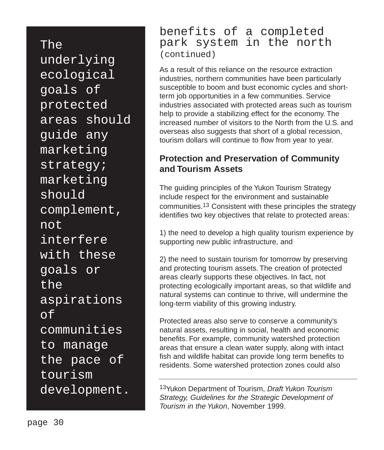The underlying ecological goals of protected areas should guide any marketing strategy; marketing should complement, not interfere with these goals or the aspirations of communities to manage the pace of tourism development.

#### benefits of a completed park system in the north (continued)

As a result of this reliance on the resource extraction industries, northern communities have been particularly susceptible to boom and bust economic cycles and shortterm job opportunities in a few communities. Service industries associated with protected areas such as tourism help to provide a stabilizing effect for the economy. The increased number of visitors to the North from the U.S. and overseas also suggests that short of a global recession, tourism dollars will continue to flow from year to year.

#### **Protection and Preservation of Community and Tourism Assets**

The guiding principles of the Yukon Tourism Strategy include respect for the environment and sustainable communities.13 Consistent with these principles the strategy identifies two key objectives that relate to protected areas:

1) the need to develop a high quality tourism experience by supporting new public infrastructure, and

2) the need to sustain tourism for tomorrow by preserving and protecting tourism assets. The creation of protected areas clearly supports these objectives. In fact, not protecting ecologically important areas, so that wildlife and natural systems can continue to thrive, will undermine the long-term viability of this growing industry.

Protected areas also serve to conserve a community's natural assets, resulting in social, health and economic benefits. For example, community watershed protection areas that ensure a clean water supply, along with intact fish and wildlife habitat can provide long term benefits to residents. Some watershed protection zones could also

13Yukon Department of Tourism, Draft Yukon Tourism Strategy, Guidelines for the Strategic Development of Tourism in the Yukon, November 1999.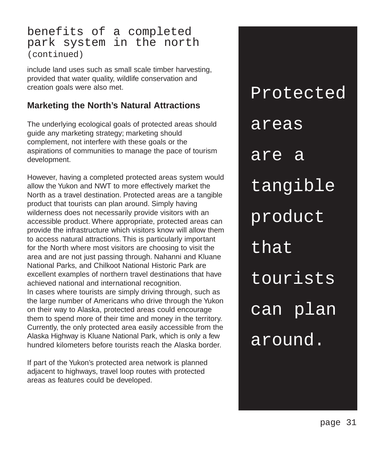#### benefits of a completed park system in the north (continued)

include land uses such as small scale timber harvesting, provided that water quality, wildlife conservation and creation goals were also met.

#### **Marketing the North's Natural Attractions**

The underlying ecological goals of protected areas should guide any marketing strategy; marketing should complement, not interfere with these goals or the aspirations of communities to manage the pace of tourism development.

However, having a completed protected areas system would allow the Yukon and NWT to more effectively market the North as a travel destination. Protected areas are a tangible product that tourists can plan around. Simply having wilderness does not necessarily provide visitors with an accessible product. Where appropriate, protected areas can provide the infrastructure which visitors know will allow them to access natural attractions. This is particularly important for the North where most visitors are choosing to visit the area and are not just passing through. Nahanni and Kluane National Parks, and Chilkoot National Historic Park are excellent examples of northern travel destinations that have achieved national and international recognition. In cases where tourists are simply driving through, such as the large number of Americans who drive through the Yukon on their way to Alaska, protected areas could encourage them to spend more of their time and money in the territory. Currently, the only protected area easily accessible from the Alaska Highway is Kluane National Park, which is only a few hundred kilometers before tourists reach the Alaska border.

If part of the Yukon's protected area network is planned adjacent to highways, travel loop routes with protected areas as features could be developed.

Protected areas are a tangible product that tourists can plan around.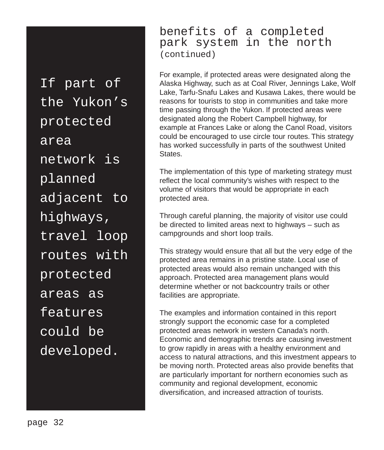If part of the Yukon's protected area network is planned adjacent to highways, travel loop routes with protected areas as features could be developed.

benefits of a completed park system in the north (continued)

For example, if protected areas were designated along the Alaska Highway, such as at Coal River, Jennings Lake, Wolf Lake, Tarfu-Snafu Lakes and Kusawa Lakes, there would be reasons for tourists to stop in communities and take more time passing through the Yukon. If protected areas were designated along the Robert Campbell highway, for example at Frances Lake or along the Canol Road, visitors could be encouraged to use circle tour routes. This strategy has worked successfully in parts of the southwest United States.

The implementation of this type of marketing strategy must reflect the local community's wishes with respect to the volume of visitors that would be appropriate in each protected area.

Through careful planning, the majority of visitor use could be directed to limited areas next to highways – such as campgrounds and short loop trails.

This strategy would ensure that all but the very edge of the protected area remains in a pristine state. Local use of protected areas would also remain unchanged with this approach. Protected area management plans would determine whether or not backcountry trails or other facilities are appropriate.

The examples and information contained in this report strongly support the economic case for a completed protected areas network in western Canada's north. Economic and demographic trends are causing investment to grow rapidly in areas with a healthy environment and access to natural attractions, and this investment appears to be moving north. Protected areas also provide benefits that are particularly important for northern economies such as community and regional development, economic diversification, and increased attraction of tourists.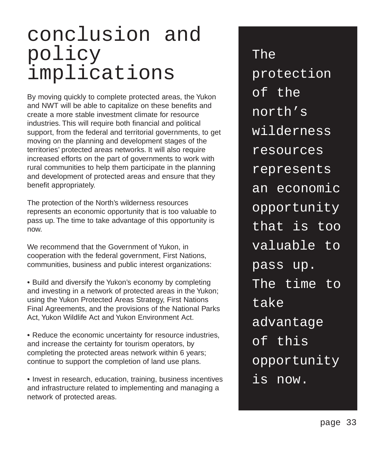### conclusion and policy implications

By moving quickly to complete protected areas, the Yukon and NWT will be able to capitalize on these benefits and create a more stable investment climate for resource industries. This will require both financial and political support, from the federal and territorial governments, to get moving on the planning and development stages of the territories' protected areas networks. It will also require increased efforts on the part of governments to work with rural communities to help them participate in the planning and development of protected areas and ensure that they benefit appropriately.

The protection of the North's wilderness resources represents an economic opportunity that is too valuable to pass up. The time to take advantage of this opportunity is now.

We recommend that the Government of Yukon, in cooperation with the federal government, First Nations, communities, business and public interest organizations:

- Build and diversify the Yukon's economy by completing and investing in a network of protected areas in the Yukon; using the Yukon Protected Areas Strategy, First Nations Final Agreements, and the provisions of the National Parks Act, Yukon Wildlife Act and Yukon Environment Act.
- Reduce the economic uncertainty for resource industries, and increase the certainty for tourism operators, by completing the protected areas network within 6 years; continue to support the completion of land use plans.

• I • nvest in research, education, training, business incentives and infrastructure related to implementing and managing a network of protected areas.

The protection of the north's wilderness resources represents an economic opportunity that is too valuable to pass up. The time to take advantage of this opportunity is now.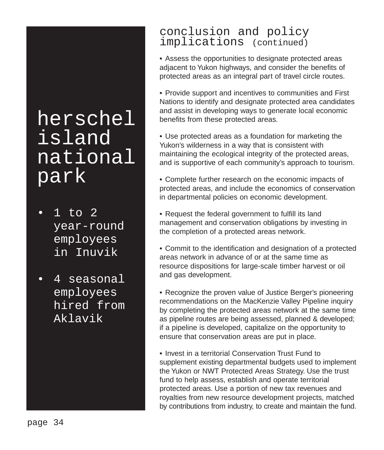### herschel island national park

- 1 to 2 year-round employees in Inuvik
- 4 seasonal employees hired from Aklavik

#### conclusion and policy implications (continued)

• Assess the opportunities to designate protected areas adjacent to Yukon highways, and consider the benefits of protected areas as an integral part of travel circle routes.

• Provide support and incentives to communities and First Nations to identify and designate protected area candidates and assist in developing ways to generate local economic benefits from these protected areas.

• Use protected areas as a foundation for marketing the Yukon's wilderness in a way that is consistent with maintaining the ecological integrity of the protected areas, and is supportive of each community's approach to tourism.

• Complete further research on the economic impacts of protected areas, and include the economics of conservation in departmental policies on economic development.

• Request the federal government to fulfill its land management and conservation obligations by investing in the completion of a protected areas network.

• Commit to the identification and designation of a protected areas network in advance of or at the same time as resource dispositions for large-scale timber harvest or oil and gas development.

• Recognize the proven value of Justice Berger's pioneering recommendations on the MacKenzie Valley Pipeline inquiry by completing the protected areas network at the same time as pipeline routes are being assessed, planned & developed; if a pipeline is developed, capitalize on the opportunity to ensure that conservation areas are put in place.

• Invest in a territorial Conservation Trust Fund to supplement existing departmental budgets used to implement the Yukon or NWT Protected Areas Strategy. Use the trust fund to help assess, establish and operate territorial protected areas. Use a portion of new tax revenues and royalties from new resource development projects, matched by contributions from industry, to create and maintain the fund.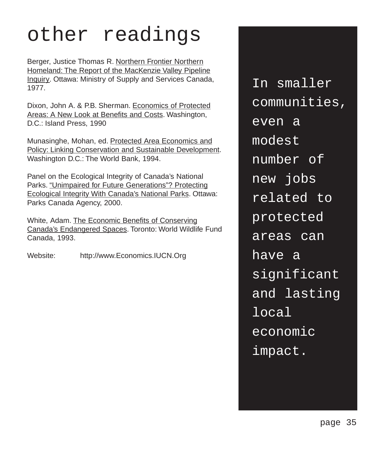## other readings

Berger, Justice Thomas R. Northern Frontier Northern Homeland: The Report of the MacKenzie Valley Pipeline Inquiry. Ottawa: Ministry of Supply and Services Canada, 1977.

Dixon, John A. & P.B. Sherman. Economics of Protected Areas: A New Look at Benefits and Costs. Washington, D.C.: Island Press, 1990

Munasinghe, Mohan, ed. Protected Area Economics and Policy: Linking Conservation and Sustainable Development. Washington D.C.: The World Bank, 1994.

Panel on the Ecological Integrity of Canada's National Parks. "Unimpaired for Future Generations"? Protecting Ecological Integrity With Canada's National Parks. Ottawa: Parks Canada Agency, 2000.

White, Adam. The Economic Benefits of Conserving Canada's Endangered Spaces. Toronto: World Wildlife Fund Canada, 1993.

Website: http://www.Economics.IUCN.Org

In smaller communities, even a modest number of new jobs related to protected areas can have a significant and lasting local economic impact.